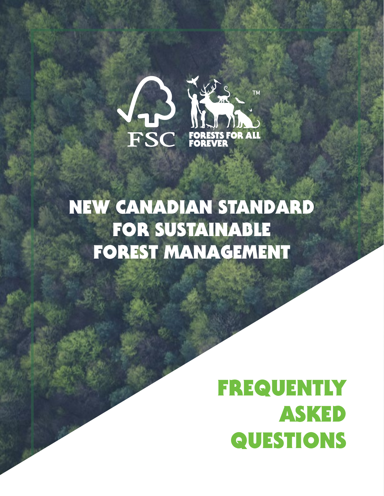

# NEW CANADIAN STANDARD FOR SUSTAINABLE FOREST MANAGEMENT

# FREQUENTLY ASKED QUESTIONS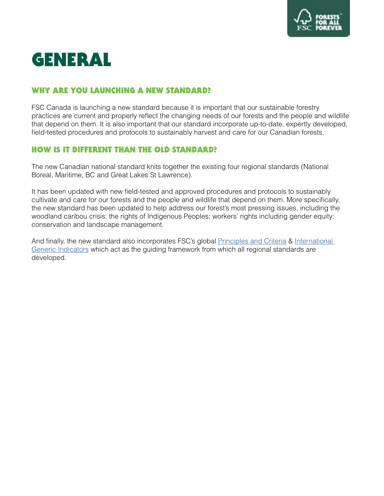

### GENERAL

#### WHY ARE YOU LAUNCHING A NEW STANDARD?

FSC Canada is launching a new standard because it is important that our sustainable forestry practices are current and properly reflect the changing needs of our forests and the people and wildlife that depend on them. It is also important that our standard incorporate up-to-date, expertly developed, field-tested procedures and protocols to sustainably harvest and care for our Canadian forests.

#### HOW IS IT DIFFERENT THAN THE OLD STANDARD?

The new Canadian national standard knits together the existing four regional standards (National Boreal, Maritime, BC and Great Lakes St Lawrence).

It has been updated with new field-tested and approved procedures and protocols to sustainably cultivate and care for our forests and the people and wildlife that depend on them. More specifically, the new standard has been updated to help address our forest's most pressing issues, including the woodland caribou crisis; the rights of Indigenous Peoples; workers' rights including gender equity; conservation and landscape management.

And finally, the new standard also incorporates FSC's global [Principles and Criteria](https://ca.fsc.org/en-ca/certification/forest-management-certification/principles-criteria) & [International](https://ca.fsc.org/en-ca/standards/forest-management-standard-revision-01/international-generic-indicators)  [Generic Indicators](https://ca.fsc.org/en-ca/standards/forest-management-standard-revision-01/international-generic-indicators) which act as the guiding framework from which all regional standards are developed.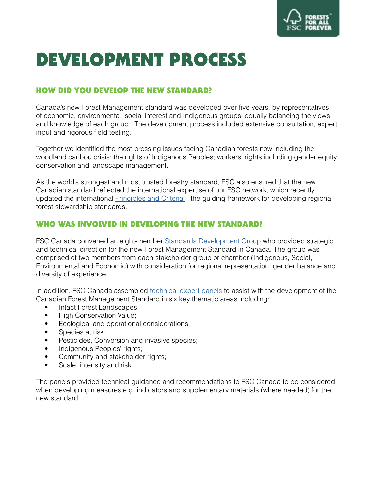

## DEVELOPMENT PROCESS

#### HOW DID YOU DEVELOP THE NEW STANDARD?

Canada's new Forest Management standard was developed over five years, by representatives of economic, environmental, social interest and Indigenous groups–equally balancing the views and knowledge of each group. The development process included extensive consultation, expert input and rigorous field testing.

Together we identified the most pressing issues facing Canadian forests now including the woodland caribou crisis; the rights of Indigenous Peoples; workers' rights including gender equity; conservation and landscape management.

As the world's strongest and most trusted forestry standard, FSC also ensured that the new Canadian standard reflected the international expertise of our FSC network, which recently updated the international [Principles and Criteria –](https://ca.fsc.org/en-ca/certification/forest-management-certification/principles-criteria) the guiding framework for developing regional forest stewardship standards.

#### WHO WAS INVOLVED IN DEVELOPING THE NEW STANDARD?

FSC Canada convened an eight-member [Standards Development Group](https://ca.fsc.org/en-ca/standards/forest-management-standard-revision-01/standards-development-group) who provided strategic and technical direction for the new Forest Management Standard in Canada. The group was comprised of two members from each stakeholder group or chamber (Indigenous, Social, Environmental and Economic) with consideration for regional representation, gender balance and diversity of experience.

In addition, FSC Canada assembled [technical expert panels](https://ca.fsc.org/en-ca/standards/forest-management-standard-revision-01/technical-expert-panels) to assist with the development of the Canadian Forest Management Standard in six key thematic areas including:

- Intact Forest Landscapes;
- High Conservation Value;
- Ecological and operational considerations;
- Species at risk;
- Pesticides, Conversion and invasive species;
- Indigenous Peoples' rights;
- Community and stakeholder rights;
- Scale, intensity and risk

The panels provided technical guidance and recommendations to FSC Canada to be considered when developing measures e.g. indicators and supplementary materials (where needed) for the new standard.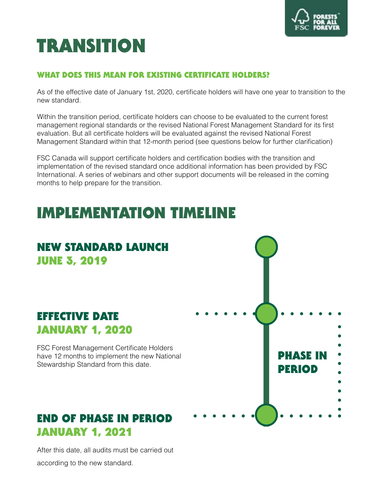

## TRANSITION

#### WHAT DOES THIS MEAN FOR EXISTING CERTIFICATE HOLDERS?

As of the effective date of January 1st, 2020, certificate holders will have one year to transition to the new standard.

Within the transition period, certificate holders can choose to be evaluated to the current forest management regional standards or the revised National Forest Management Standard for its first evaluation. But all certificate holders will be evaluated against the revised National Forest Management Standard within that 12-month period (see questions below for further clarification)

FSC Canada will support certificate holders and certification bodies with the transition and implementation of the revised standard once additional information has been provided by FSC International. A series of webinars and other support documents will be released in the coming months to help prepare for the transition.

### IMPLEMENTATION TIMELINE

### NEW STANDARD LAUNCH JUNE 3, 2019

### EFFECTIVE DATE JANUARY 1, 2020

FSC Forest Management Certificate Holders have 12 months to implement the new National Stewardship Standard from this date.

### END OF PHASE IN PERIOD JANUARY 1, 2021

After this date, all audits must be carried out according to the new standard.

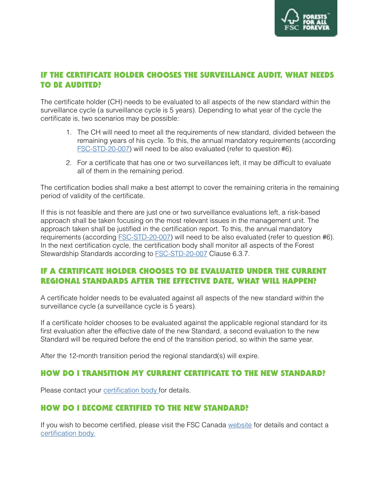

#### IF THE CERTIFICATE HOLDER CHOOSES THE SURVEILLANCE AUDIT, WHAT NEEDS TO BE AUDITED?

The certificate holder (CH) needs to be evaluated to all aspects of the new standard within the surveillance cycle (a surveillance cycle is 5 years). Depending to what year of the cycle the certificate is, two scenarios may be possible:

- 1. The CH will need to meet all the requirements of new standard, divided between the remaining years of his cycle. To this, the annual mandatory requirements (according [FSC-STD-20-007](https://ic.fsc.org/en/document-center/id/67)) will need to be also evaluated (refer to question #6).
- 2. For a certificate that has one or two surveillances left, it may be difficult to evaluate all of them in the remaining period.

The certification bodies shall make a best attempt to cover the remaining criteria in the remaining period of validity of the certificate.

If this is not feasible and there are just one or two surveillance evaluations left, a risk-based approach shall be taken focusing on the most relevant issues in the management unit. The approach taken shall be justified in the certification report. To this, the annual mandatory requirements (according **[FSC-STD-20-007](https://ic.fsc.org/en/document-center/id/67)**) will need to be also evaluated (refer to question #6). In the next certification cycle, the certification body shall monitor all aspects of the Forest Stewardship Standards according to **FSC-STD-20-007** Clause 6.3.7.

#### IF A CERTIFICATE HOLDER CHOOSES TO BE EVALUATED UNDER THE CURRENT REGIONAL STANDARDS AFTER THE EFFECTIVE DATE, WHAT WILL HAPPEN?

A certificate holder needs to be evaluated against all aspects of the new standard within the surveillance cycle (a surveillance cycle is 5 years).

If a certificate holder chooses to be evaluated against the applicable regional standard for its first evaluation after the effective date of the new Standard, a second evaluation to the new Standard will be required before the end of the transition period, so within the same year.

After the 12-month transition period the regional standard(s) will expire.

#### HOW DO I TRANSITION MY CURRENT CERTIFICATE TO THE NEW STANDARD?

Please contact your [certification body](https://ca.fsc.org/en-ca/certification/certification-bodies) for details.

#### HOW DO I BECOME CERTIFIED TO THE NEW STANDARD?

If you wish to become certified, please visit the FSC Canada [website](https://ca.fsc.org/en-ca/certification/forest-management-certification) for details and contact a [certification body.](https://ca.fsc.org/en-ca/certification/certification-bodies)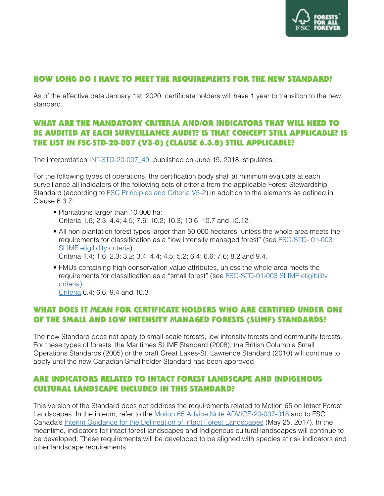

#### HOW LONG DO I HAVE TO MEET THE REQUIREMENTS FOR THE NEW STANDARD?

As of the effective date January 1st, 2020, certificate holders will have 1 year to transition to the new standard.

#### WHAT ARE THE MANDATORY CRITERIA AND/OR INDICATORS THAT WILL NEED TO BE AUDITED AT EACH SURVEILLANCE AUDIT? IS THAT CONCEPT STILL APPLICABLE? IS THE LIST IN FSC-STD-20-007 (V3-0) (CLAUSE 6.3.8) STILL APPLICABLE?

The interpretatio[n INT-STD-20-007\\_49,](https://ic.fsc.org/en/document-center/id/110) published on June 15, 2018, stipulates:

For the following types of operations, the certification body shall at minimum evaluate at each surveillance all indicators of the following sets of criteria from the applicable Forest Stewardship Standard (according to **FSC Principles and Criteria V5-2)** in addition to the elements as defined in Clause 6.3.7:

- Plantations larger than 10 000 ha: Criteria 1.6; 2.3; 4.4; 4.5; 7.6; 10.2; 10.3; 10.6; 10.7 and 10.12.
- All non-plantation forest types larger than 50,000 hectares, unless the whole area meets the requirements for classification as a "low intensity managed forest" (see [FSC-STD- 01-003](https://ic.fsc.org/en/document-center/id/61)  [SLIMF eligibility criteria](https://ic.fsc.org/en/document-center/id/61))

Criteria 1.4; 1.6; 2.3; 3.2; 3.4; 4.4; 4.5; 5.2; 6.4; 6.6; 7.6; 8.2 and 9.4.

• FMUs containing high conservation value attributes, unless the whole area meets the requirements for classification as a "small forest" (see [FSC-STD-01-003 SLIMF eligibility](https://ic.fsc.org/en/document-center/id/61)  [criteria\)](https://ic.fsc.org/en/document-center/id/61) 

[Criteria](https://ic.fsc.org/en/document-center/id/61) 6.4; 6.6; 9.4 and 10.3

#### WHAT DOES IT MEAN FOR CERTIFICATE HOLDERS WHO ARE CERTIFIED UNDER ONE OF THE SMALL AND LOW INTENSITY MANAGED FORESTS (SLIMF) STANDARDS?

The new Standard does not apply to small-scale forests, low intensity forests and community forests. For these types of forests, the Maritimes SLIMF Standard (2008), the British Columbia Small Operations Standards (2005) or the draft Great Lakes-St. Lawrence Standard (2010) will continue to apply until the new Canadian Smallholder Standard has been approved.

#### ARE INDICATORS RELATED TO INTACT FOREST LANDSCAPE AND INDIGENOUS CULTURAL LANDSCAPE INCLUDED IN THIS STANDARD?

This version of the Standard does not address the requirements related to Motion 65 on Intact Forest Landscapes. In the interim, refer to the [Motion 65 Advice Note ADVICE-20-007-018 a](https://ca.fsc.org/preview.advice-note-on-the-development-of-indicators-for-the-protection-of-ifls-icls.a-1361.pdf)nd to FSC Canada's [Interim Guidance for the Delineation of Intact Forest Landscapes](https://ca.fsc.org/preview.delineating-intact-forest-landscapesdocument.a-1483.pdf) (May 25, 2017). In the meantime, indicators for intact forest landscapes and Indigenous cultural landscapes will continue to be developed. These requirements will be developed to be aligned with species at risk indicators and other landscape requirements.